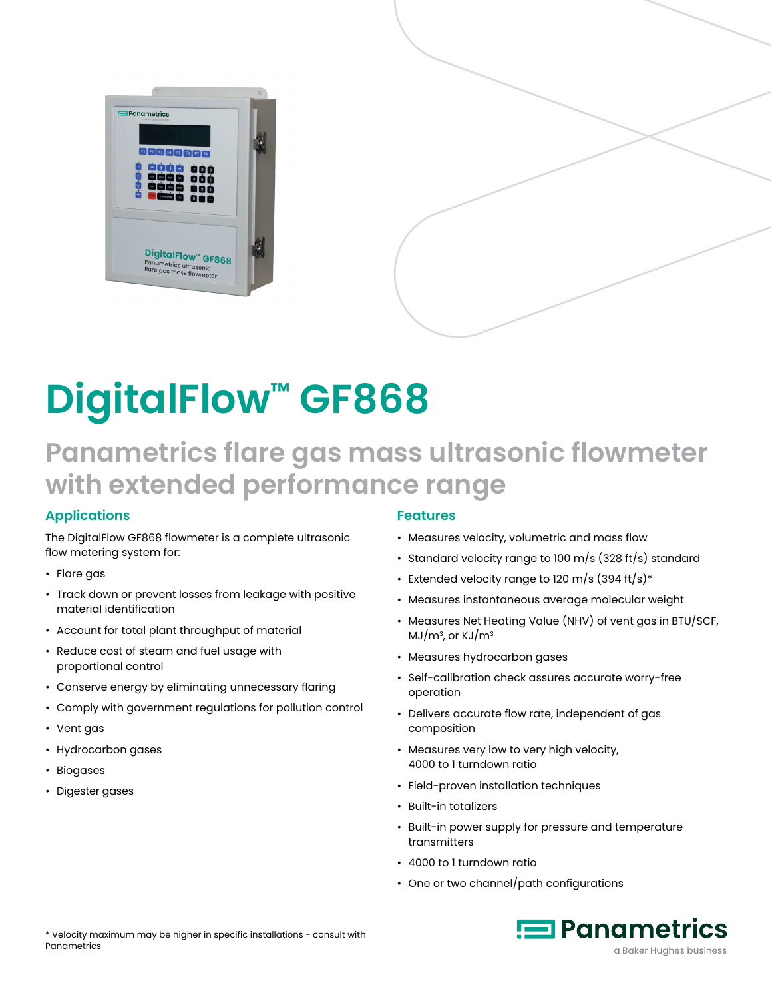

# **DigitalFlow™ GF868**

## **Panametrics flare gas mass ultrasonic flowmeter with extended performance range**

#### **Applications**

The DigitalFlow GF868 flowmeter is a complete ultrasonic flow metering system for:

- Flare gas
- Track down or prevent losses from leakage with positive material identification
- Account for total plant throughput of material
- Reduce cost of steam and fuel usage with proportional control
- Conserve energy by eliminating unnecessary flaring
- Comply with government regulations for pollution control
- Vent gas
- Hydrocarbon gases
- Biogases
- Digester gases

#### **Features**

- Measures velocity, volumetric and mass flow
- Standard velocity range to 100 m/s (328 ft/s) standard
- Extended velocity range to 120 m/s  $(394 \text{ ft/s})*$
- Measures instantaneous average molecular weight
- Measures Net Heating Value (NHV) of vent gas in BTU/SCF,  $MJ/m<sup>3</sup>$ , or KJ/m<sup>3</sup>
- Measures hydrocarbon gases
- Self-calibration check assures accurate worry-free operation
- Delivers accurate flow rate, independent of gas composition
- Measures very low to very high velocity, 4000 to 1 turndown ratio
- Field-proven installation techniques
- Built-in totalizers
- Built-in power supply for pressure and temperature transmitters
- 4000 to 1 turndown ratio
- One or two channel/path configurations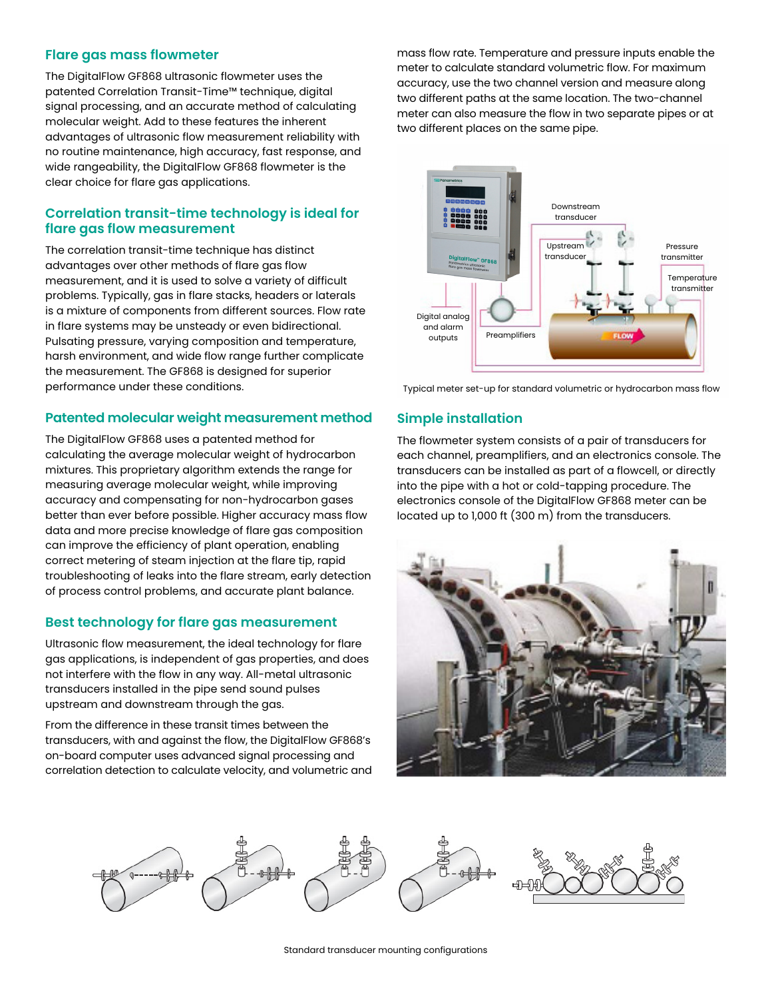#### **Flare gas mass flowmeter**

The DigitalFlow GF868 ultrasonic flowmeter uses the patented Correlation Transit-Time™ technique, digital signal processing, and an accurate method of calculating molecular weight. Add to these features the inherent advantages of ultrasonic flow measurement reliability with no routine maintenance, high accuracy, fast response, and wide rangeability, the DigitalFlow GF868 flowmeter is the clear choice for flare gas applications.

#### **Correlation transit-time technology is ideal for flare gas flow measurement**

The correlation transit-time technique has distinct advantages over other methods of flare gas flow measurement, and it is used to solve a variety of difficult problems. Typically, gas in flare stacks, headers or laterals is a mixture of components from different sources. Flow rate in flare systems may be unsteady or even bidirectional. Pulsating pressure, varying composition and temperature, harsh environment, and wide flow range further complicate the measurement. The GF868 is designed for superior performance under these conditions.

#### **Patented molecular weight measurement method**

The DigitalFlow GF868 uses a patented method for calculating the average molecular weight of hydrocarbon mixtures. This proprietary algorithm extends the range for measuring average molecular weight, while improving accuracy and compensating for non-hydrocarbon gases better than ever before possible. Higher accuracy mass flow data and more precise knowledge of flare gas composition can improve the efficiency of plant operation, enabling correct metering of steam injection at the flare tip, rapid troubleshooting of leaks into the flare stream, early detection of process control problems, and accurate plant balance.

#### **Best technology for flare gas measurement**

Ultrasonic flow measurement, the ideal technology for flare gas applications, is independent of gas properties, and does not interfere with the flow in any way. All-metal ultrasonic transducers installed in the pipe send sound pulses upstream and downstream through the gas.

From the difference in these transit times between the transducers, with and against the flow, the DigitalFlow GF868's on-board computer uses advanced signal processing and correlation detection to calculate velocity, and volumetric and mass flow rate. Temperature and pressure inputs enable the meter to calculate standard volumetric flow. For maximum accuracy, use the two channel version and measure along two different paths at the same location. The two-channel meter can also measure the flow in two separate pipes or at two different places on the same pipe.



Typical meter set-up for standard volumetric or hydrocarbon mass flow

#### **Simple installation**

The flowmeter system consists of a pair of transducers for each channel, preamplifiers, and an electronics console. The transducers can be installed as part of a flowcell, or directly into the pipe with a hot or cold-tapping procedure. The electronics console of the DigitalFlow GF868 meter can be located up to 1,000 ft (300 m) from the transducers.



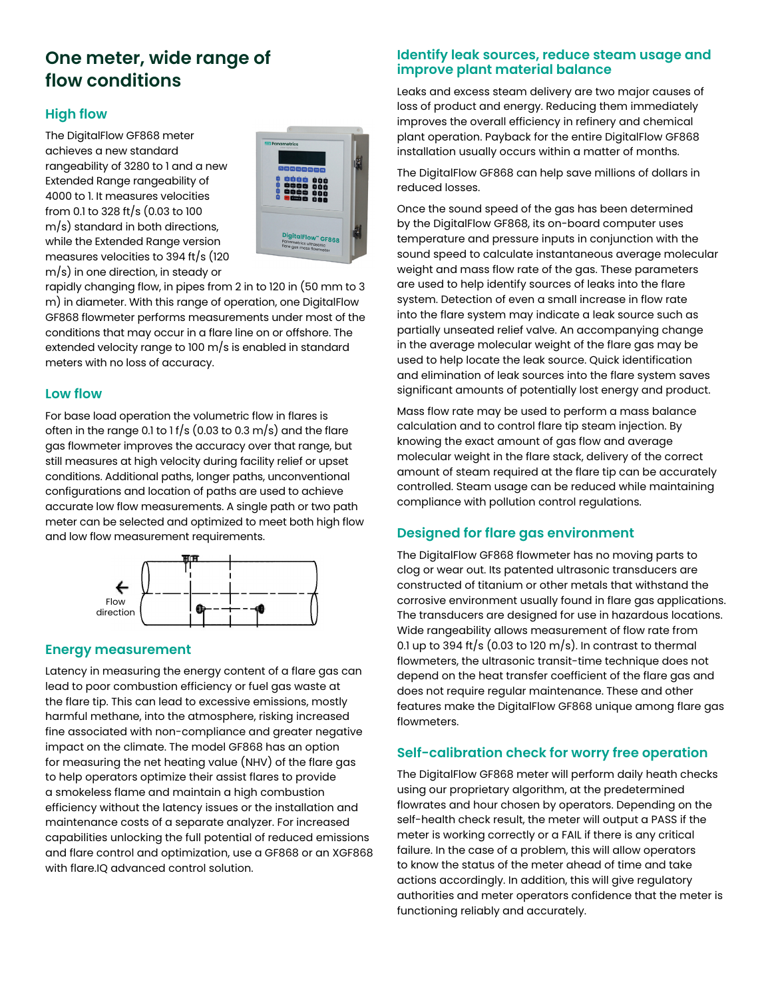## **One meter, wide range of flow conditions**

#### **High flow**

The DigitalFlow GF868 meter achieves a new standard rangeability of 3280 to 1 and a new Extended Range rangeability of 4000 to 1. It measures velocities from 0.1 to 328 ft/s (0.03 to 100 m/s) standard in both directions, while the Extended Range version measures velocities to 394 ft/s (120 m/s) in one direction, in steady or



rapidly changing flow, in pipes from 2 in to 120 in (50 mm to 3 m) in diameter. With this range of operation, one DigitalFlow GF868 flowmeter performs measurements under most of the conditions that may occur in a flare line on or offshore. The extended velocity range to 100 m/s is enabled in standard meters with no loss of accuracy.

#### **Low flow**

For base load operation the volumetric flow in flares is often in the range 0.1 to 1 f/s (0.03 to 0.3 m/s) and the flare gas flowmeter improves the accuracy over that range, but still measures at high velocity during facility relief or upset conditions. Additional paths, longer paths, unconventional configurations and location of paths are used to achieve accurate low flow measurements. A single path or two path meter can be selected and optimized to meet both high flow and low flow measurement requirements.



#### **Energy measurement**

Latency in measuring the energy content of a flare gas can lead to poor combustion efficiency or fuel gas waste at the flare tip. This can lead to excessive emissions, mostly harmful methane, into the atmosphere, risking increased fine associated with non-compliance and greater negative impact on the climate. The model GF868 has an option for measuring the net heating value (NHV) of the flare gas to help operators optimize their assist flares to provide a smokeless flame and maintain a high combustion efficiency without the latency issues or the installation and maintenance costs of a separate analyzer. For increased capabilities unlocking the full potential of reduced emissions and flare control and optimization, use a GF868 or an XGF868 with flare.IQ advanced control solution.

#### **Identify leak sources, reduce steam usage and improve plant material balance**

Leaks and excess steam delivery are two major causes of loss of product and energy. Reducing them immediately improves the overall efficiency in refinery and chemical plant operation. Payback for the entire DigitalFlow GF868 installation usually occurs within a matter of months.

The DigitalFlow GF868 can help save millions of dollars in reduced losses.

Once the sound speed of the gas has been determined by the DigitalFlow GF868, its on-board computer uses temperature and pressure inputs in conjunction with the sound speed to calculate instantaneous average molecular weight and mass flow rate of the gas. These parameters are used to help identify sources of leaks into the flare system. Detection of even a small increase in flow rate into the flare system may indicate a leak source such as partially unseated relief valve. An accompanying change in the average molecular weight of the flare gas may be used to help locate the leak source. Quick identification and elimination of leak sources into the flare system saves significant amounts of potentially lost energy and product.

Mass flow rate may be used to perform a mass balance calculation and to control flare tip steam injection. By knowing the exact amount of gas flow and average molecular weight in the flare stack, delivery of the correct amount of steam required at the flare tip can be accurately controlled. Steam usage can be reduced while maintaining compliance with pollution control regulations.

#### **Designed for flare gas environment**

The DigitalFlow GF868 flowmeter has no moving parts to clog or wear out. Its patented ultrasonic transducers are constructed of titanium or other metals that withstand the corrosive environment usually found in flare gas applications. The transducers are designed for use in hazardous locations. Wide rangeability allows measurement of flow rate from 0.1 up to 394 ft/s (0.03 to 120 m/s). In contrast to thermal flowmeters, the ultrasonic transit-time technique does not depend on the heat transfer coefficient of the flare gas and does not require regular maintenance. These and other features make the DigitalFlow GF868 unique among flare gas flowmeters.

#### **Self-calibration check for worry free operation**

The DigitalFlow GF868 meter will perform daily heath checks using our proprietary algorithm, at the predetermined flowrates and hour chosen by operators. Depending on the self-health check result, the meter will output a PASS if the meter is working correctly or a FAIL if there is any critical failure. In the case of a problem, this will allow operators to know the status of the meter ahead of time and take actions accordingly. In addition, this will give regulatory authorities and meter operators confidence that the meter is functioning reliably and accurately.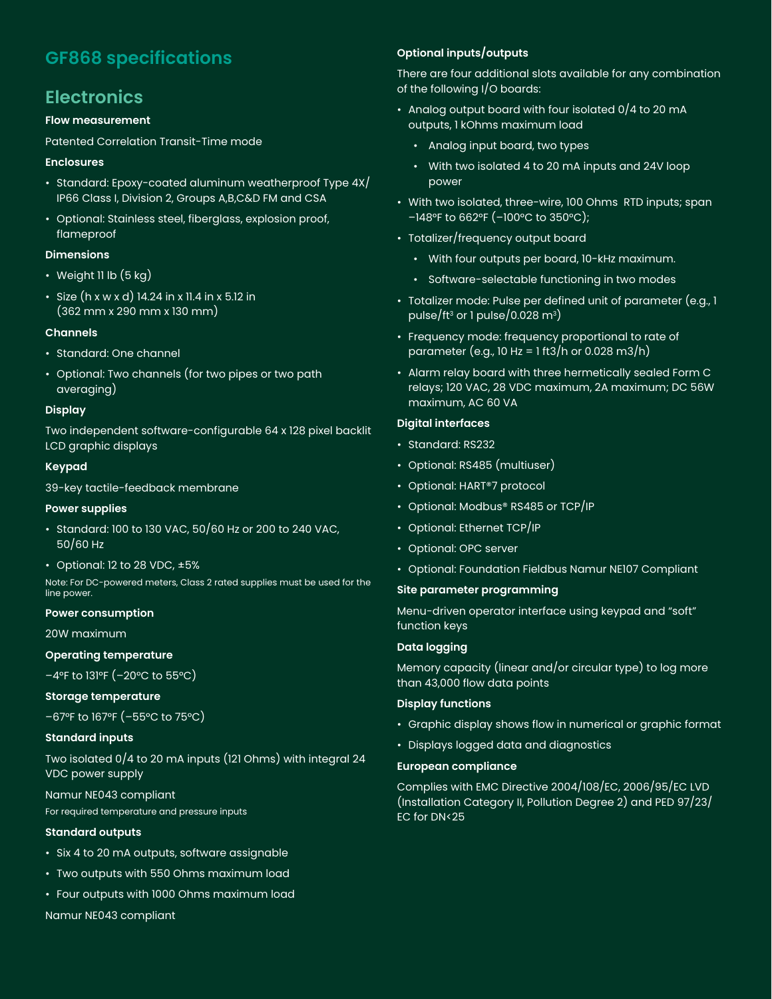## **GF868 specifications**

## **Electronics**

#### **Flow measurement**

Patented Correlation Transit-Time mode

#### **Enclosures**

- Standard: Epoxy-coated aluminum weatherproof Type 4X/ IP66 Class I, Division 2, Groups A,B,C&D FM and CSA
- Optional: Stainless steel, fiberglass, explosion proof, flameproof

#### **Dimensions**

- Weight 11 lb  $(5 kg)$
- Size (h x w x d) 14.24 in x 11.4 in x 5.12 in (362 mm x 290 mm x 130 mm)

#### **Channels**

- Standard: One channel
- Optional: Two channels (for two pipes or two path averaging)

#### **Display**

Two independent software-configurable 64 x 128 pixel backlit LCD graphic displays

#### **Keypad**

39-key tactile-feedback membrane

#### **Power supplies**

- Standard: 100 to 130 VAC, 50/60 Hz or 200 to 240 VAC, 50/60 Hz
- Optional: 12 to 28 VDC,  $\pm 5\%$

Note: For DC-powered meters, Class 2 rated supplies must be used for the line power.

#### **Power consumption**

20W maximum

#### **Operating temperature**

–4°F to 131°F (–20°C to 55°C)

#### **Storage temperature**

–67°F to 167°F (–55°C to 75°C)

#### **Standard inputs**

Two isolated 0/4 to 20 mA inputs (121 Ohms) with integral 24 VDC power supply

#### Namur NE043 compliant

For required temperature and pressure inputs

#### **Standard outputs**

- Six 4 to 20 mA outputs, software assignable
- Two outputs with 550 Ohms maximum load
- Four outputs with 1000 Ohms maximum load

Namur NE043 compliant

#### **Optional inputs/outputs**

There are four additional slots available for any combination of the following I/O boards:

- Analog output board with four isolated 0/4 to 20 mA outputs, 1 kOhms maximum load
	- Analog input board, two types
	- With two isolated 4 to 20 mA inputs and 24V loop power
- With two isolated, three-wire, 100 Ohms RTD inputs; span –148°F to 662°F (–100°C to 350°C);
- Totalizer/frequency output board
	- With four outputs per board, 10-kHz maximum.
	- Software-selectable functioning in two modes
- Totalizer mode: Pulse per defined unit of parameter (e.g., 1 pulse/ft<sup>3</sup> or 1 pulse/0.028  $\text{m}^3$ )
- Frequency mode: frequency proportional to rate of parameter (e.g., 10 Hz = 1 ft3/h or 0.028 m3/h)
- Alarm relay board with three hermetically sealed Form C relays; 120 VAC, 28 VDC maximum, 2A maximum; DC 56W maximum, AC 60 VA

#### **Digital interfaces**

- Standard: RS232
- Optional: RS485 (multiuser)
- Optional: HART®7 protocol
- Optional: Modbus® RS485 or TCP/IP
- Optional: Ethernet TCP/IP
- Optional: OPC server
- Optional: Foundation Fieldbus Namur NE107 Compliant

#### **Site parameter programming**

Menu-driven operator interface using keypad and "soft" function keys

#### **Data logging**

Memory capacity (linear and/or circular type) to log more than 43,000 flow data points

#### **Display functions**

- Graphic display shows flow in numerical or graphic format
- Displays logged data and diagnostics

#### **European compliance**

Complies with EMC Directive 2004/108/EC, 2006/95/EC LVD (Installation Category II, Pollution Degree 2) and PED 97/23/ EC for DN<25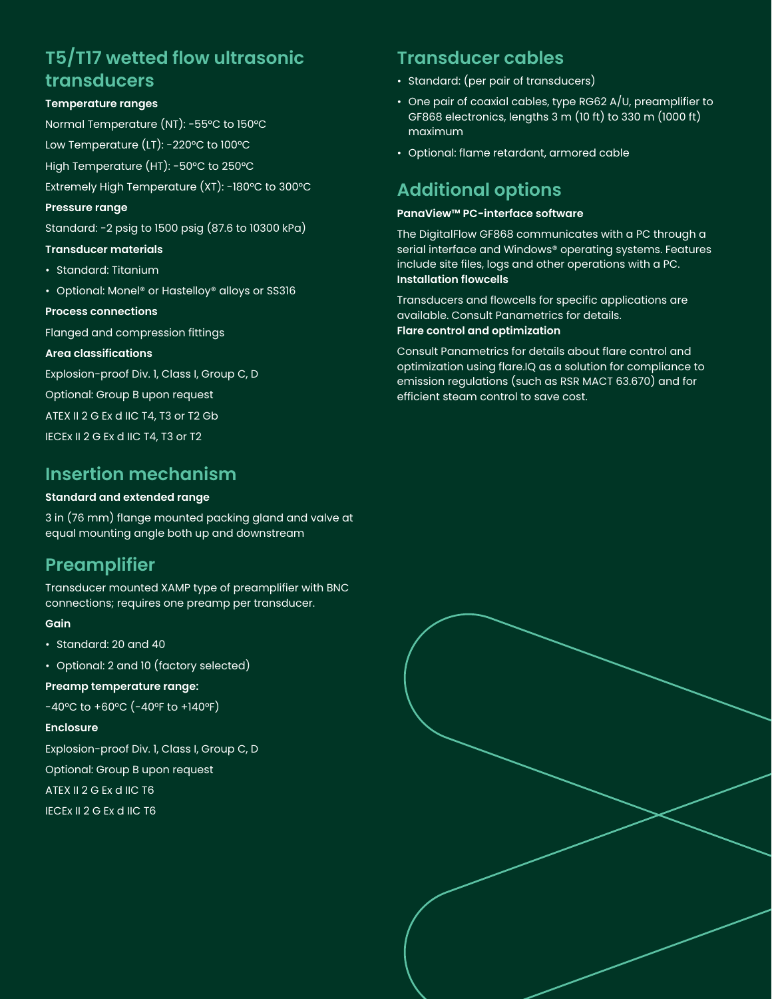## **T5/T17 wetted flow ultrasonic transducers**

#### **Temperature ranges**

Normal Temperature (NT): -55°C to 150°C Low Temperature (LT): -220°C to 100°C

High Temperature (HT): -50°C to 250°C

Extremely High Temperature (XT): -180°C to 300°C

#### **Pressure range**

Standard: -2 psig to 1500 psig (87.6 to 10300 kPa)

#### **Transducer materials**

- Standard: Titanium
- Optional: Monel® or Hastelloy® alloys or SS316

#### **Process connections**

Flanged and compression fittings

#### **Area classifications**

Explosion-proof Div. 1, Class I, Group C, D

Optional: Group B upon request

ATEX II 2 G Ex d IIC T4, T3 or T2 Gb

IECEx II 2 G Ex d IIC T4, T3 or T2

### **Insertion mechanism**

#### **Standard and extended range**

3 in (76 mm) flange mounted packing gland and valve at equal mounting angle both up and downstream

## **Preamplifier**

Transducer mounted XAMP type of preamplifier with BNC connections; requires one preamp per transducer.

#### **Gain**

- Standard: 20 and 40
- Optional: 2 and 10 (factory selected)

#### **Preamp temperature range:**

-40°C to +60°C (-40°F to +140°F)

#### **Enclosure**

Explosion-proof Div. 1, Class I, Group C, D

Optional: Group B upon request

ATEX II 2 G Ex d IIC T6

IECEx II 2 G Ex d IIC T6

## **Transducer cables**

- Standard: (per pair of transducers)
- One pair of coaxial cables, type RG62 A/U, preamplifier to GF868 electronics, lengths 3 m (10 ft) to 330 m (1000 ft) maximum
- Optional: flame retardant, armored cable

## **Additional options**

#### **PanaView™ PC-interface software**

The DigitalFlow GF868 communicates with a PC through a serial interface and Windows® operating systems. Features include site files, logs and other operations with a PC. **Installation flowcells**

Transducers and flowcells for specific applications are available. Consult Panametrics for details. **Flare control and optimization**

Consult Panametrics for details about flare control and optimization using flare.IQ as a solution for compliance to emission regulations (such as RSR MACT 63.670) and for efficient steam control to save cost.

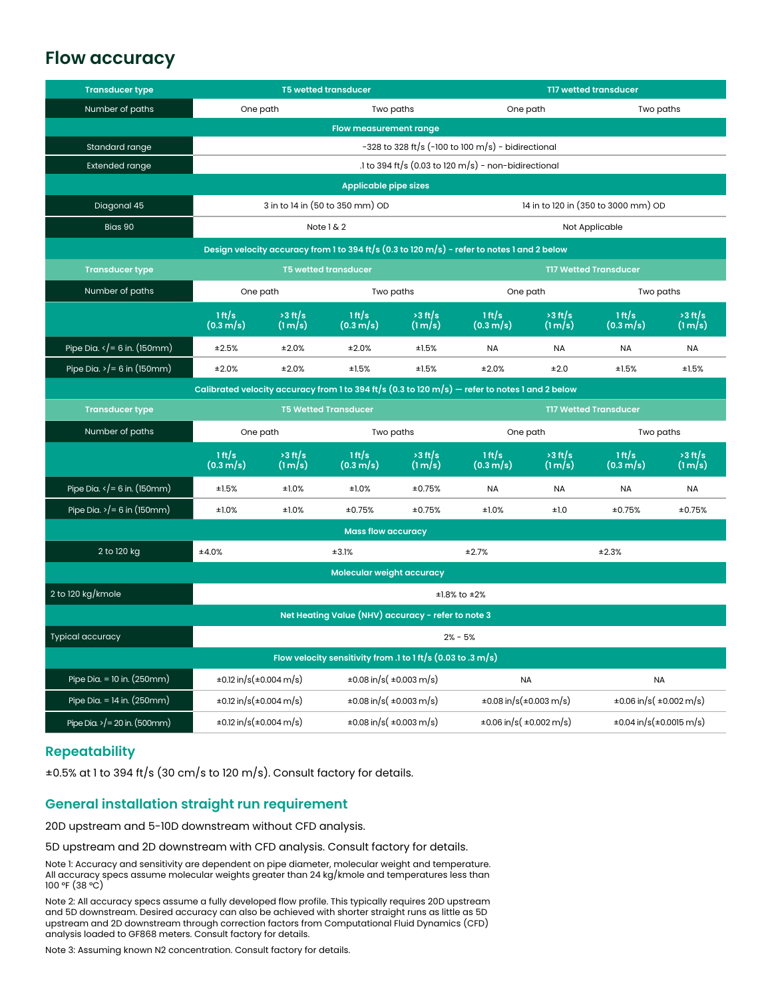## **Flow accuracy**

| <b>Transducer type</b>                                                                          | <b>T5 wetted transducer</b>                                             |                      |                                   |                              | <b>TI7 wetted transducer</b>        |                      |                                    |                      |
|-------------------------------------------------------------------------------------------------|-------------------------------------------------------------------------|----------------------|-----------------------------------|------------------------------|-------------------------------------|----------------------|------------------------------------|----------------------|
| Number of paths                                                                                 | One path                                                                |                      | Two paths                         |                              | One path                            |                      | Two paths                          |                      |
|                                                                                                 | <b>Flow measurement range</b>                                           |                      |                                   |                              |                                     |                      |                                    |                      |
| Standard range                                                                                  | $-328$ to 328 ft/s (-100 to 100 m/s) - bidirectional                    |                      |                                   |                              |                                     |                      |                                    |                      |
| <b>Extended range</b>                                                                           | .1 to 394 ft/s $(0.03 \text{ to } 120 \text{ m/s})$ - non-bidirectional |                      |                                   |                              |                                     |                      |                                    |                      |
| <b>Applicable pipe sizes</b>                                                                    |                                                                         |                      |                                   |                              |                                     |                      |                                    |                      |
| Diagonal 45                                                                                     | 3 in to 14 in (50 to 350 mm) OD                                         |                      |                                   |                              | 14 in to 120 in (350 to 3000 mm) OD |                      |                                    |                      |
| Bias 90                                                                                         | Note 1 & 2                                                              |                      |                                   |                              | Not Applicable                      |                      |                                    |                      |
| Design velocity accuracy from 1 to 394 ft/s (0.3 to 120 m/s) - refer to notes 1 and 2 below     |                                                                         |                      |                                   |                              |                                     |                      |                                    |                      |
| <b>Transducer type</b>                                                                          | <b>T5 wetted transducer</b><br><b>T17 Wetted Transducer</b>             |                      |                                   |                              |                                     |                      |                                    |                      |
| Number of paths                                                                                 | One path                                                                |                      | Two paths                         |                              | One path                            |                      | Two paths                          |                      |
|                                                                                                 | 1 ft/s<br>$(0.3 \, \text{m/s})$                                         | $>3$ ft/s<br>(1 m/s) | 1 ft/s<br>$(0.3 \, \text{m/s})$   | $>3$ ft/s<br>$(\frac{1}{s})$ | 1 ft/s<br>$(0.3 \, \text{m/s})$     | $>3$ ft/s<br>(1 m/s) | 1 ft/s<br>$(0.3 \, \text{m/s})$    | $>3$ ft/s<br>(1 m/s) |
| Pipe Dia. $\sqrt{}=6$ in. (150mm)                                                               | ±2.5%                                                                   | ±2.0%                | ±2.0%                             | ±1.5%                        | <b>NA</b>                           | <b>NA</b>            | <b>NA</b>                          | <b>NA</b>            |
| Pipe Dia. $>$ / = 6 in (150mm)                                                                  | ±2.0%                                                                   | ±2.0%                | ±1.5%                             | ±1.5%                        | ±2.0%                               | ±2.0                 | ±1.5%                              | ±1.5%                |
| Calibrated velocity accuracy from 1 to 394 ft/s (0.3 to 120 m/s) – refer to notes 1 and 2 below |                                                                         |                      |                                   |                              |                                     |                      |                                    |                      |
| <b>Transducer type</b>                                                                          | <b>T5 Wetted Transducer</b>                                             |                      |                                   |                              | <b>T17 Wetted Transducer</b>        |                      |                                    |                      |
| Number of paths                                                                                 | One path<br>Two paths                                                   |                      |                                   | One path<br>Two paths        |                                     |                      |                                    |                      |
|                                                                                                 | 1 ft/s<br>$(0.3 \, \text{m/s})$                                         | $>3$ ft/s<br>(1 m/s) | 1 ft/s<br>$(0.3 \, \text{m/s})$   | $>3$ ft/s<br>(1 m/s)         | 1 ft/s<br>$(0.3 \, \text{m/s})$     | $>3$ ft/s<br>(1 m/s) | 1 ft/s<br>$(0.3 \, \text{m/s})$    | $>3$ ft/s<br>(1 m/s) |
| Pipe Dia. $\langle$ = 6 in. (150mm)                                                             | ±1.5%                                                                   | ±1.0%                | ±1.0%                             | ±0.75%                       | <b>NA</b>                           | <b>NA</b>            | <b>NA</b>                          | <b>NA</b>            |
| Pipe Dia. $>$ /= 6 in (150mm)                                                                   | ±1.0%                                                                   | ±1.0%                | ±0.75%                            | ±0.75%                       | ±1.0%                               | ±1.0                 | ±0.75%                             | ±0.75%               |
| <b>Mass flow accuracy</b>                                                                       |                                                                         |                      |                                   |                              |                                     |                      |                                    |                      |
| 2 to 120 kg                                                                                     | ±4.0%                                                                   |                      | ±3.1%                             |                              | ±2.7%                               |                      | ±2.3%                              |                      |
| Molecular weight accuracy                                                                       |                                                                         |                      |                                   |                              |                                     |                      |                                    |                      |
| 2 to 120 kg/kmole                                                                               | $±1.8\%$ to $±2\%$                                                      |                      |                                   |                              |                                     |                      |                                    |                      |
| Net Heating Value (NHV) accuracy - refer to note 3                                              |                                                                         |                      |                                   |                              |                                     |                      |                                    |                      |
| Typical accuracy                                                                                | $2% - 5%$                                                               |                      |                                   |                              |                                     |                      |                                    |                      |
| Flow velocity sensitivity from .1 to 1 ft/s $(0.03 \text{ to } .3 \text{ m/s})$                 |                                                                         |                      |                                   |                              |                                     |                      |                                    |                      |
| Pipe Dia. = 10 in. $(250mm)$                                                                    | $\pm 0.12$ in/s( $\pm 0.004$ m/s)                                       |                      | $\pm 0.08$ in/s( $\pm 0.003$ m/s) |                              | <b>NA</b>                           |                      | <b>NA</b>                          |                      |
| Pipe Dia. = 14 in. $(250mm)$                                                                    | $\pm 0.12$ in/s( $\pm 0.004$ m/s)                                       |                      | $\pm 0.08$ in/s( $\pm 0.003$ m/s) |                              | $\pm 0.08$ in/s( $\pm 0.003$ m/s)   |                      | $\pm 0.06$ in/s( $\pm 0.002$ m/s)  |                      |
| Pipe Dia. > $/$ = 20 in. (500mm)                                                                | $\pm 0.12$ in/s( $\pm 0.004$ m/s)                                       |                      | $\pm 0.08$ in/s( $\pm 0.003$ m/s) |                              | $\pm 0.06$ in/s( $\pm 0.002$ m/s)   |                      | $\pm 0.04$ in/s( $\pm 0.0015$ m/s) |                      |

#### **Repeatability**

±0.5% at 1 to 394 ft/s (30 cm/s to 120 m/s). Consult factory for details.

#### **General installation straight run requirement**

20D upstream and 5-10D downstream without CFD analysis.

5D upstream and 2D downstream with CFD analysis. Consult factory for details.

Note 1: Accuracy and sensitivity are dependent on pipe diameter, molecular weight and temperature. All accuracy specs assume molecular weights greater than 24 kg/kmole and temperatures less than 100 °F (38 °C)

Note 2: All accuracy specs assume a fully developed flow profile. This typically requires 20D upstream and 5D downstream. Desired accuracy can also be achieved with shorter straight runs as little as 5D upstream and 2D downstream through correction factors from Computational Fluid Dynamics (CFD) analysis loaded to GF868 meters. Consult factory for details.

Note 3: Assuming known N2 concentration. Consult factory for details.